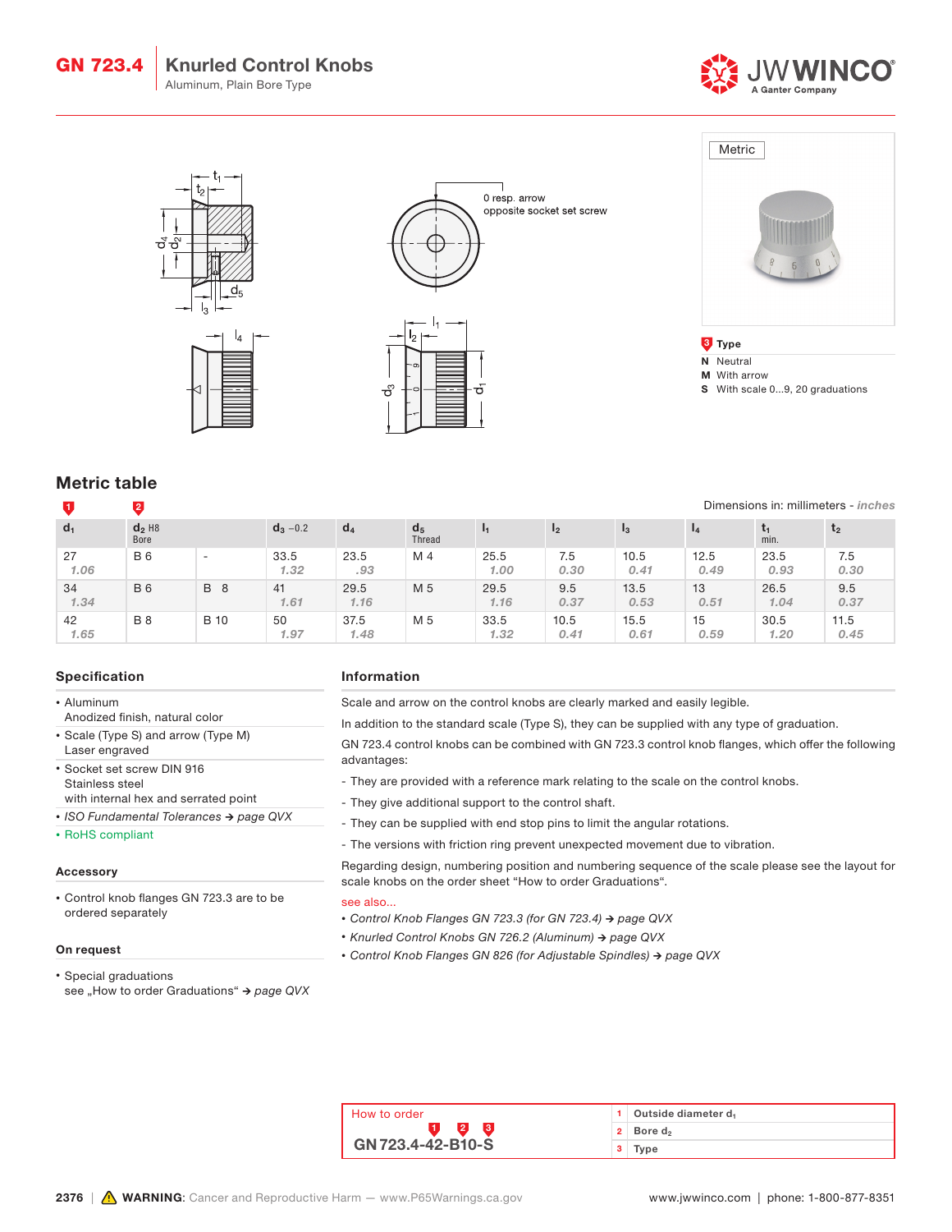Knurled Control Knobs Aluminum, Plain Bore Type GN 723.4









**3** Type

- N Neutral
- M With arrow

S With scale 0...9, 20 graduations

Dimensions in: millimeters - inches

# Metric table

## 1 2

| $d_1$      | $d_2$ H <sub>8</sub><br>Bore |                          | $d_3 - 0.2$  | $d_4$        | d <sub>5</sub><br><b>Thread</b> | -11          | 12           | $_{13}$      | $\mathbf{I_4}$ | min.         | $\mathbf{t}_2$ |
|------------|------------------------------|--------------------------|--------------|--------------|---------------------------------|--------------|--------------|--------------|----------------|--------------|----------------|
| 27<br>1.06 | <b>B6</b>                    | $\overline{\phantom{0}}$ | 33.5<br>1.32 | 23.5<br>.93  | M 4                             | 25.5<br>1.00 | 7.5<br>0.30  | 10.5<br>0.41 | 12.5<br>0.49   | 23.5<br>0.93 | 7.5<br>0.30    |
| 34<br>1.34 | <b>B6</b>                    | <b>B</b> 8               | 41<br>1.61   | 29.5<br>1.16 | M 5                             | 29.5<br>1.16 | 9.5<br>0.37  | 13.5<br>0.53 | 13<br>0.51     | 26.5<br>1.04 | 9.5<br>0.37    |
| 42<br>1.65 | <b>B</b> 8                   | <b>B</b> 10              | 50<br>1.97   | 37.5<br>1.48 | M 5                             | 33.5<br>1.32 | 10.5<br>0.41 | 15.5<br>0.61 | 15<br>0.59     | 30.5<br>1.20 | 11.5<br>0.45   |

### Specification

- Aluminum
- Anodized finish, natural color
- Scale (Type S) and arrow (Type M) Laser engraved
- Socket set screw DIN 916 Stainless steel with internal hex and serrated point
- *• ISO Fundamental Tolerances → page QVX*
- 
- RoHS compliant

#### Accessory

• Control knob flanges GN 723.3 are to be ordered separately

#### On request

• Special graduations see "How to order Graduations" → page QVX

### Information

Scale and arrow on the control knobs are clearly marked and easily legible.

In addition to the standard scale (Type S), they can be supplied with any type of graduation.

GN 723.4 control knobs can be combined with GN 723.3 control knob flanges, which offer the following advantages:

- They are provided with a reference mark relating to the scale on the control knobs.
- They give additional support to the control shaft.
- They can be supplied with end stop pins to limit the angular rotations.
- The versions with friction ring prevent unexpected movement due to vibration.

Regarding design, numbering position and numbering sequence of the scale please see the layout for scale knobs on the order sheet "How to order Graduations".

#### see also...

- *• Control Knob Flanges GN 723.3 (for GN 723.4) → page QVX*
- *• Knurled Control Knobs GN 726.2 (Aluminum) → page QVX*
- *• Control Knob Flanges GN 826 (for Adjustable Spindles) → page QVX*

| How to order             |   | $1$ Outside diameter $d_1$   |  |
|--------------------------|---|------------------------------|--|
|                          |   | $2 \mid$ Bore d <sub>2</sub> |  |
| <b>GN 723.4-42-B10-S</b> | з | Type                         |  |